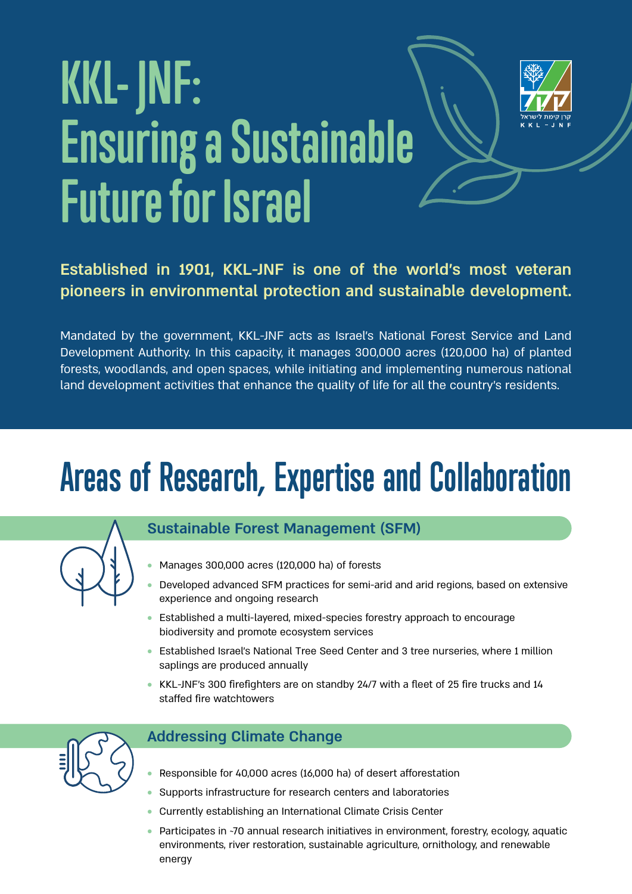# KKL- JNF: **Ensuring a Sustainable Future** for Israel



#### **Established in 1901, KKL-JNF is one of the world's most veteran** pioneers in environmental protection and sustainable development.

Mandated by the government, KKL-JNF acts as Israel's National Forest Service and Land Development Authority. In this capacity, it manages 300,000 acres (120,000 ha) of planted forests, woodlands, and open spaces, while initiating and implementing numerous national land development activities that enhance the quality of life for all the country's residents.

## **Areas of Research, Expertise and Collaboration**



#### **Sustainable Forest Management (SFM)**

- $\bullet$  Manages 300,000 acres (120,000 ha) of forests
- Developed advanced SFM practices for semi-arid and arid regions, based on extensive experience and ongoing research
- Established a multi-layered, mixed-species forestry approach to encourage biodiversity and promote ecosystem services
- Established Israel's National Tree Seed Center and 3 tree nurseries, where 1 million saplings are produced annually
- $\bullet$  KKL-JNF's 300 firefighters are on standby 24/7 with a fleet of 25 fire trucks and 14 staffed fire watchtowers



#### **Addressing Climate Change**

- Responsible for 40,000 acres (16,000 ha) of desert afforestation
- Supports infrastructure for research centers and laboratories
- Currently establishing an International Climate Crisis Center
- Participates in ~70 annual research initiatives in environment, forestry, ecology, aquatic environments, river restoration, sustainable agriculture, ornithology, and renewable energy